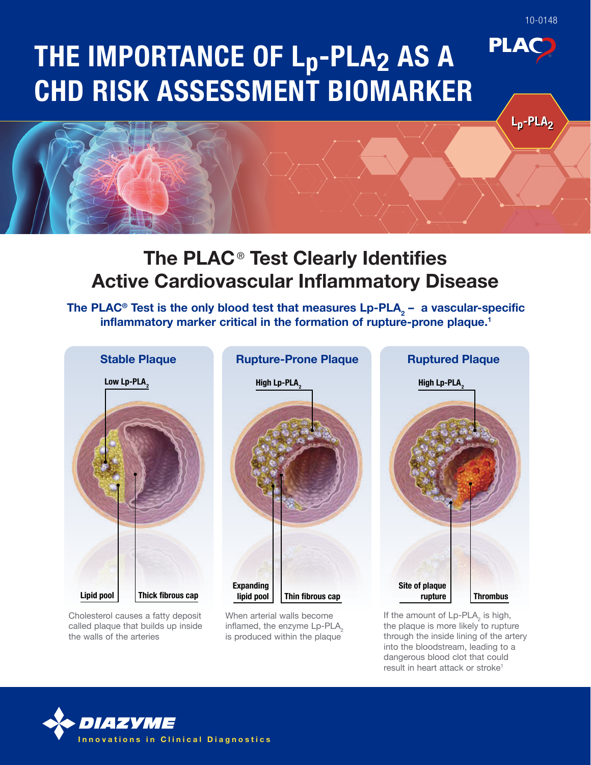# The PLAC<sup>®</sup> Test Clearly Identifies Active Cardiovascular Inflammatory Disease

The PLAC® Test is the only blood test that measures Lp-PLA $_{\textrm{\tiny{2}}}$  – a vascular-specific inflammatory marker critical in the formation of rupture-prone plaque.<sup>1</sup>



Cholesterol causes a fatty deposit called plaque that builds up inside the walls of the arteries

When arterial walls become inflamed, the enzyme Lp-PLA<sub>2</sub> is produced within the plaque

If the amount of  $Lp$ -PLA<sub>2</sub> is high, the plaque is more likely to rupture through the inside lining of the artery into the bloodstream, leading to a dangerous blood clot that could result in heart attack or stroke<sup>1</sup>



 $L_p$ -PLA<sub>2</sub>